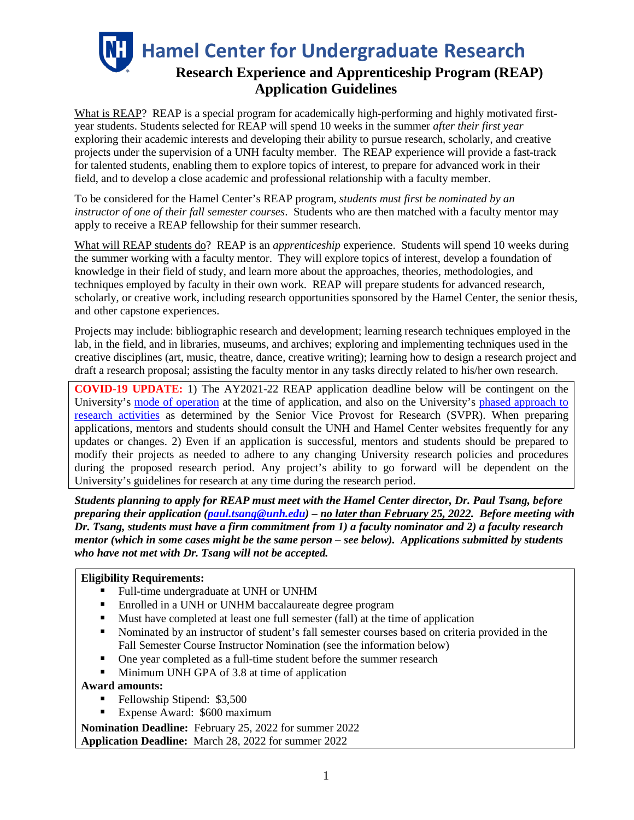**Hamel Center for Undergraduate Research Research Experience and Apprenticeship Program (REAP) Application Guidelines** 

What is REAP? REAP is a special program for academically high-performing and highly motivated firstyear students. Students selected for REAP will spend 10 weeks in the summer *after their first year* exploring their academic interests and developing their ability to pursue research, scholarly, and creative projects under the supervision of a UNH faculty member. The REAP experience will provide a fast-track for talented students, enabling them to explore topics of interest, to prepare for advanced work in their field, and to develop a close academic and professional relationship with a faculty member.

To be considered for the Hamel Center's REAP program, *students must first be nominated by an instructor of one of their fall semester courses*. Students who are then matched with a faculty mentor may apply to receive a REAP fellowship for their summer research.

What will REAP students do? REAP is an *apprenticeship* experience. Students will spend 10 weeks during the summer working with a faculty mentor. They will explore topics of interest, develop a foundation of knowledge in their field of study, and learn more about the approaches, theories, methodologies, and techniques employed by faculty in their own work. REAP will prepare students for advanced research, scholarly, or creative work, including research opportunities sponsored by the Hamel Center, the senior thesis, and other capstone experiences.

Projects may include: bibliographic research and development; learning research techniques employed in the lab, in the field, and in libraries, museums, and archives; exploring and implementing techniques used in the creative disciplines (art, music, theatre, dance, creative writing); learning how to design a research project and draft a research proposal; assisting the faculty mentor in any tasks directly related to his/her own research.

**COVID-19 UPDATE:** 1) The AY2021-22 REAP application deadline below will be contingent on the University's [mode of operation](https://www.unh.edu/coronavirus) at the time of application, and also on the University's [phased approach to](https://www.unh.edu/research/research/covid-19-updates-resources)  [research activities](https://www.unh.edu/research/research/covid-19-updates-resources) as determined by the Senior Vice Provost for Research (SVPR). When preparing applications, mentors and students should consult the UNH and Hamel Center websites frequently for any updates or changes. 2) Even if an application is successful, mentors and students should be prepared to modify their projects as needed to adhere to any changing University research policies and procedures during the proposed research period. Any project's ability to go forward will be dependent on the University's guidelines for research at any time during the research period.

*Students planning to apply for REAP must meet with the Hamel Center director, Dr. Paul Tsang, before preparing their application [\(paul.tsang@unh.edu\)](mailto:paul.tsang@unh.edu) – no later than February 25, 2022. Before meeting with Dr. Tsang, students must have a firm commitment from 1) a faculty nominator and 2) a faculty research mentor (which in some cases might be the same person – see below). Applications submitted by students who have not met with Dr. Tsang will not be accepted.*

#### **Eligibility Requirements:**

- Full-time undergraduate at UNH or UNHM
- Enrolled in a UNH or UNHM baccalaureate degree program
- Must have completed at least one full semester (fall) at the time of application
- Nominated by an instructor of student's fall semester courses based on criteria provided in the Fall Semester Course Instructor Nomination (see the information below)
- One year completed as a full-time student before the summer research
- Minimum UNH GPA of 3.8 at time of application

#### **Award amounts:**

- Fellowship Stipend: \$3,500
- Expense Award: \$600 maximum

**Nomination Deadline:** February 25, 2022 for summer 2022 **Application Deadline:** March 28, 2022 for summer 2022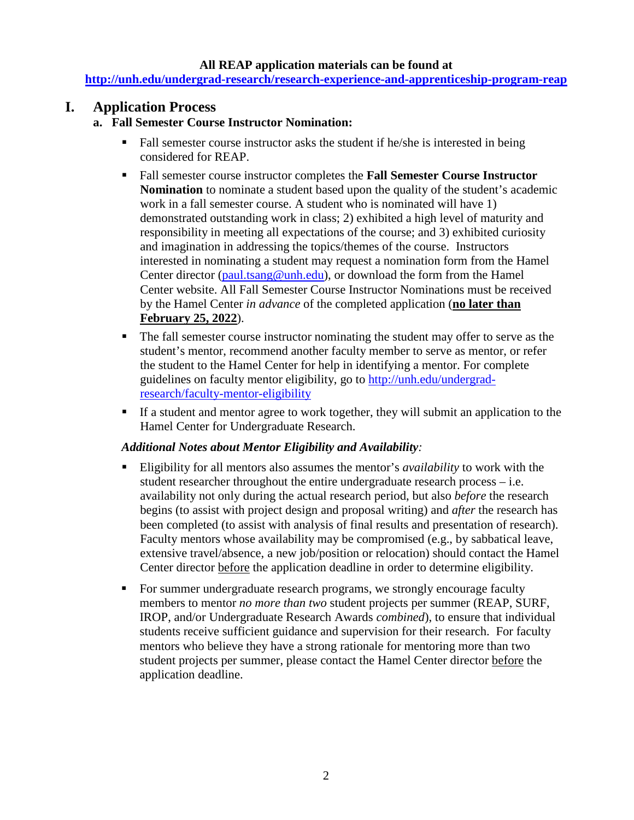#### **All REAP application materials can be found at**

**<http://unh.edu/undergrad-research/research-experience-and-apprenticeship-program-reap>**

## **I. Application Process**

#### **a. Fall Semester Course Instructor Nomination:**

- Fall semester course instructor asks the student if he/she is interested in being considered for REAP.
- Fall semester course instructor completes the **Fall Semester Course Instructor Nomination** to nominate a student based upon the quality of the student's academic work in a fall semester course. A student who is nominated will have 1) demonstrated outstanding work in class; 2) exhibited a high level of maturity and responsibility in meeting all expectations of the course; and 3) exhibited curiosity and imagination in addressing the topics/themes of the course.Instructors interested in nominating a student may request a nomination form from the Hamel Center director [\(paul.tsang@unh.edu\)](mailto:paul.tsang@unh.edu), or download the form from the Hamel Center website. All Fall Semester Course Instructor Nominations must be received by the Hamel Center *in advance* of the completed application (**no later than February 25, 2022**).
- The fall semester course instructor nominating the student may offer to serve as the student's mentor, recommend another faculty member to serve as mentor, or refer the student to the Hamel Center for help in identifying a mentor. For complete guidelines on faculty mentor eligibility, go to [http://unh.edu/undergrad](http://unh.edu/undergrad-research/faculty-mentor-eligibility)[research/faculty-mentor-eligibility](http://unh.edu/undergrad-research/faculty-mentor-eligibility)
- If a student and mentor agree to work together, they will submit an application to the Hamel Center for Undergraduate Research.

#### *Additional Notes about Mentor Eligibility and Availability:*

- Eligibility for all mentors also assumes the mentor's *availability* to work with the student researcher throughout the entire undergraduate research process – i.e. availability not only during the actual research period, but also *before* the research begins (to assist with project design and proposal writing) and *after* the research has been completed (to assist with analysis of final results and presentation of research). Faculty mentors whose availability may be compromised (e.g., by sabbatical leave, extensive travel/absence, a new job/position or relocation) should contact the Hamel Center director before the application deadline in order to determine eligibility.
- For summer undergraduate research programs, we strongly encourage faculty members to mentor *no more than two* student projects per summer (REAP, SURF, IROP, and/or Undergraduate Research Awards *combined*), to ensure that individual students receive sufficient guidance and supervision for their research. For faculty mentors who believe they have a strong rationale for mentoring more than two student projects per summer, please contact the Hamel Center director before the application deadline.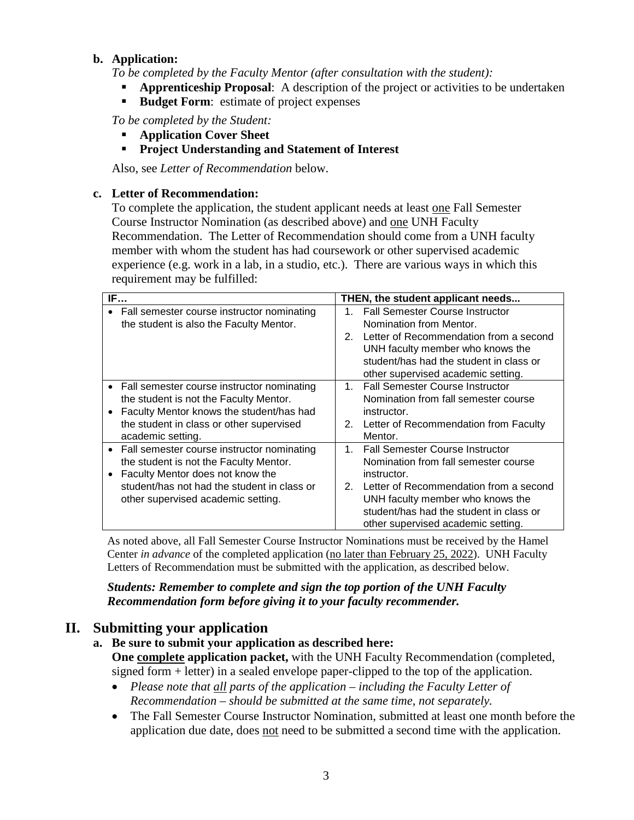#### **b. Application:**

*To be completed by the Faculty Mentor (after consultation with the student):*

- **Apprenticeship Proposal**: A description of the project or activities to be undertaken
- **Budget Form:** estimate of project expenses

*To be completed by the Student:*

- **Application Cover Sheet**
- **Project Understanding and Statement of Interest**

Also, see *Letter of Recommendation* below.

#### **c. Letter of Recommendation:**

To complete the application, the student applicant needs at least one Fall Semester Course Instructor Nomination (as described above) and one UNH Faculty Recommendation. The Letter of Recommendation should come from a UNH faculty member with whom the student has had coursework or other supervised academic experience (e.g. work in a lab, in a studio, etc.). There are various ways in which this requirement may be fulfilled:

| IF                                                                                                                                                                                                                                      | THEN, the student applicant needs                                                                                                                                                                                                                                             |
|-----------------------------------------------------------------------------------------------------------------------------------------------------------------------------------------------------------------------------------------|-------------------------------------------------------------------------------------------------------------------------------------------------------------------------------------------------------------------------------------------------------------------------------|
| Fall semester course instructor nominating<br>the student is also the Faculty Mentor.                                                                                                                                                   | 1. Fall Semester Course Instructor<br>Nomination from Mentor.<br>Letter of Recommendation from a second<br>2.<br>UNH faculty member who knows the<br>student/has had the student in class or<br>other supervised academic setting.                                            |
| • Fall semester course instructor nominating<br>the student is not the Faculty Mentor.<br>Faculty Mentor knows the student/has had<br>$\bullet$<br>the student in class or other supervised<br>academic setting.                        | 1. Fall Semester Course Instructor<br>Nomination from fall semester course<br>instructor.<br>Letter of Recommendation from Faculty<br>2.<br>Mentor.                                                                                                                           |
| Fall semester course instructor nominating<br>$\bullet$<br>the student is not the Faculty Mentor.<br>Faculty Mentor does not know the<br>$\bullet$<br>student/has not had the student in class or<br>other supervised academic setting. | <b>Fall Semester Course Instructor</b><br>$1_{-}$<br>Nomination from fall semester course<br>instructor.<br>Letter of Recommendation from a second<br>2.<br>UNH faculty member who knows the<br>student/has had the student in class or<br>other supervised academic setting. |

As noted above, all Fall Semester Course Instructor Nominations must be received by the Hamel Center *in advance* of the completed application (no later than February 25, 2022). UNH Faculty Letters of Recommendation must be submitted with the application, as described below.

*Students: Remember to complete and sign the top portion of the UNH Faculty Recommendation form before giving it to your faculty recommender.* 

# **II. Submitting your application**

- **a. Be sure to submit your application as described here: One complete application packet,** with the UNH Faculty Recommendation (completed, signed form + letter) in a sealed envelope paper-clipped to the top of the application.
	- *Please note that all parts of the application – including the Faculty Letter of Recommendation – should be submitted at the same time, not separately.*
	- The Fall Semester Course Instructor Nomination, submitted at least one month before the application due date, does not need to be submitted a second time with the application.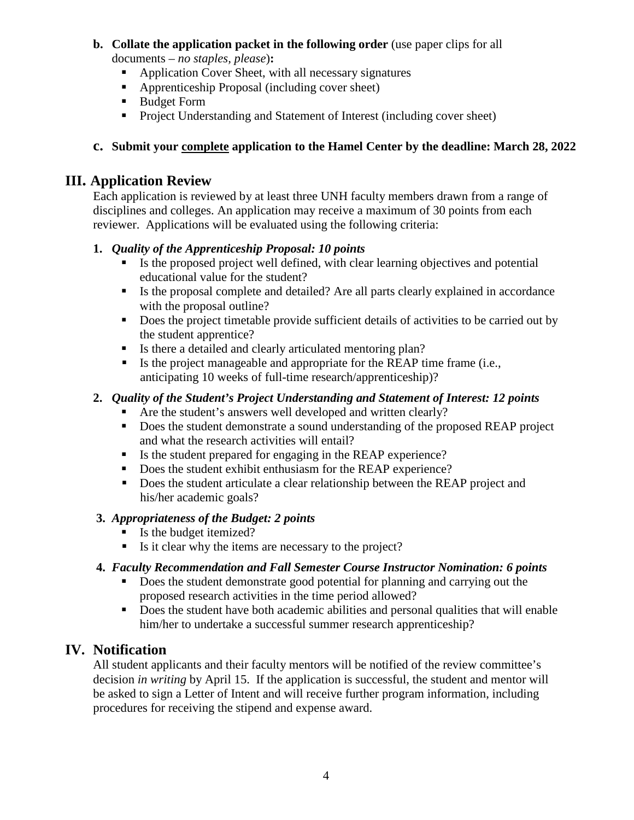### **b. Collate the application packet in the following order** (use paper clips for all

documents – *no staples, please*)**:**

- Application Cover Sheet, with all necessary signatures
- Apprenticeship Proposal (including cover sheet)
- Budget Form
- Project Understanding and Statement of Interest (including cover sheet)

## **c. Submit your complete application to the Hamel Center by the deadline: March 28, 2022**

# **III. Application Review**

Each application is reviewed by at least three UNH faculty members drawn from a range of disciplines and colleges. An application may receive a maximum of 30 points from each reviewer. Applications will be evaluated using the following criteria:

## **1.** *Quality of the Apprenticeship Proposal: 10 points*

- Is the proposed project well defined, with clear learning objectives and potential educational value for the student?
- Is the proposal complete and detailed? Are all parts clearly explained in accordance with the proposal outline?
- Does the project timetable provide sufficient details of activities to be carried out by the student apprentice?
- Is there a detailed and clearly articulated mentoring plan?
- Is the project manageable and appropriate for the REAP time frame (i.e., anticipating 10 weeks of full-time research/apprenticeship)?

## **2.** *Quality of the Student's Project Understanding and Statement of Interest: 12 points*

- Are the student's answers well developed and written clearly?
- Does the student demonstrate a sound understanding of the proposed REAP project and what the research activities will entail?
- Is the student prepared for engaging in the REAP experience?
- Does the student exhibit enthusiasm for the REAP experience?
- Does the student articulate a clear relationship between the REAP project and his/her academic goals?

## **3.** *Appropriateness of the Budget: 2 points*

- Is the budget itemized?
- Is it clear why the items are necessary to the project?

## **4.** *Faculty Recommendation and Fall Semester Course Instructor Nomination: 6 points*

- Does the student demonstrate good potential for planning and carrying out the proposed research activities in the time period allowed?
- Does the student have both academic abilities and personal qualities that will enable him/her to undertake a successful summer research apprenticeship?

# **IV. Notification**

All student applicants and their faculty mentors will be notified of the review committee's decision *in writing* by April 15. If the application is successful, the student and mentor will be asked to sign a Letter of Intent and will receive further program information, including procedures for receiving the stipend and expense award.